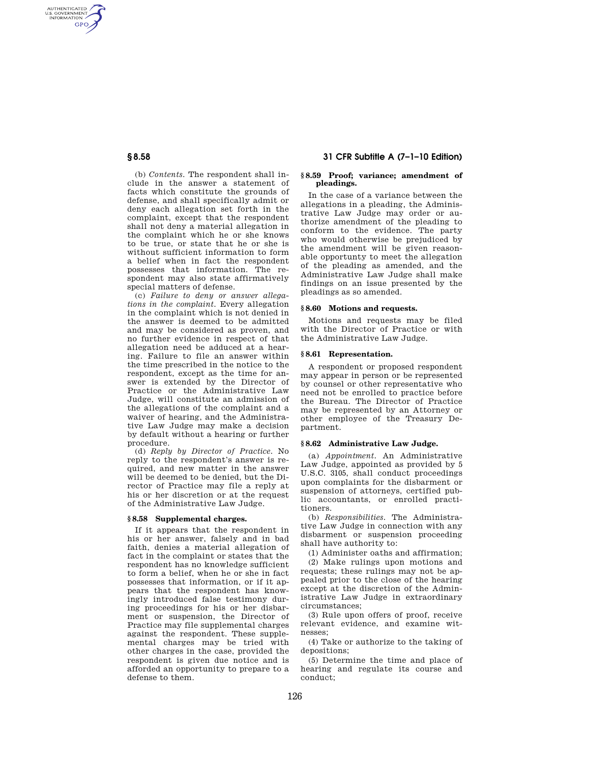AUTHENTICATED<br>U.S. GOVERNMENT<br>INFORMATION GPO

> (b) *Contents.* The respondent shall include in the answer a statement of facts which constitute the grounds of defense, and shall specifically admit or deny each allegation set forth in the complaint, except that the respondent shall not deny a material allegation in the complaint which he or she knows to be true, or state that he or she is without sufficient information to form a belief when in fact the respondent possesses that information. The respondent may also state affirmatively special matters of defense.

> (c) *Failure to deny or answer allegations in the complaint.* Every allegation in the complaint which is not denied in the answer is deemed to be admitted and may be considered as proven, and no further evidence in respect of that allegation need be adduced at a hearing. Failure to file an answer within the time prescribed in the notice to the respondent, except as the time for answer is extended by the Director of Practice or the Administrative Law Judge, will constitute an admission of the allegations of the complaint and a waiver of hearing, and the Administrative Law Judge may make a decision by default without a hearing or further procedure.

> (d) *Reply by Director of Practice.* No reply to the respondent's answer is required, and new matter in the answer will be deemed to be denied, but the Director of Practice may file a reply at his or her discretion or at the request of the Administrative Law Judge.

#### **§ 8.58 Supplemental charges.**

If it appears that the respondent in his or her answer, falsely and in bad faith, denies a material allegation of fact in the complaint or states that the respondent has no knowledge sufficient to form a belief, when he or she in fact possesses that information, or if it appears that the respondent has knowingly introduced false testimony during proceedings for his or her disbarment or suspension, the Director of Practice may file supplemental charges against the respondent. These supplemental charges may be tried with other charges in the case, provided the respondent is given due notice and is afforded an opportunity to prepare to a defense to them.

# **§ 8.58 31 CFR Subtitle A (7–1–10 Edition)**

#### **§ 8.59 Proof; variance; amendment of pleadings.**

In the case of a variance between the allegations in a pleading, the Administrative Law Judge may order or authorize amendment of the pleading to conform to the evidence. The party who would otherwise be prejudiced by the amendment will be given reasonable opportunty to meet the allegation of the pleading as amended, and the Administrative Law Judge shall make findings on an issue presented by the pleadings as so amended.

#### **§ 8.60 Motions and requests.**

Motions and requests may be filed with the Director of Practice or with the Administrative Law Judge.

#### **§ 8.61 Representation.**

A respondent or proposed respondent may appear in person or be represented by counsel or other representative who need not be enrolled to practice before the Bureau. The Director of Practice may be represented by an Attorney or other employee of the Treasury Department.

## **§ 8.62 Administrative Law Judge.**

(a) *Appointment.* An Administrative Law Judge, appointed as provided by 5 U.S.C. 3105, shall conduct proceedings upon complaints for the disbarment or suspension of attorneys, certified public accountants, or enrolled practitioners.

(b) *Responsibilities.* The Administrative Law Judge in connection with any disbarment or suspension proceeding shall have authority to:

(1) Administer oaths and affirmation;

(2) Make rulings upon motions and requests; these rulings may not be appealed prior to the close of the hearing except at the discretion of the Administrative Law Judge in extraordinary circumstances;

(3) Rule upon offers of proof, receive relevant evidence, and examine witnesses;

(4) Take or authorize to the taking of depositions;

(5) Determine the time and place of hearing and regulate its course and conduct;